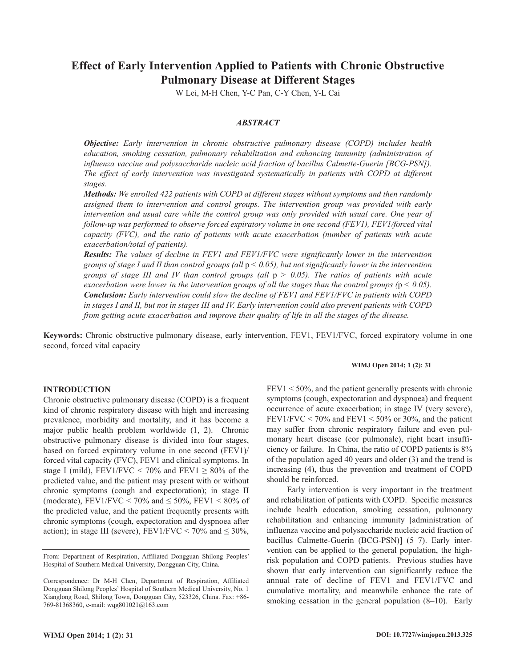# **Effect of Early Intervention Applied to Patients with Chronic Obstructive Pulmonary Disease at Different Stages**

W Lei, M-H Chen, Y-C Pan, C-Y Chen, Y-L Cai

## *ABSTRACT*

*Objective: Early intervention in chronic obstructive pulmonary disease (COPD) includes health education, smoking cessation, pulmonary rehabilitation and enhancing immunity (administration of influenza vaccine and polysaccharide nucleic acid fraction of bacillus Calmette-Guerin [BCG-PSN]). The effect of early intervention was investigated systematically in patients with COPD at different stages.*

*Methods: We enrolled 422 patients with COPD at different stages without symptoms and then randomly assigned them to intervention and control groups. The intervention group was provided with early intervention and usual care while the control group was only provided with usual care. One year of follow-up was performed to observe forced expiratory volume in one second (FEV1), FEV1/forced vital capacity (FVC), and the ratio of patients with acute exacerbation (number of patients with acute exacerbation/total of patients).*

*Results: The values of decline in FEV1 and FEV1/FVC were significantly lower in the intervention groups of stage I and II than control groups (all* p *< 0.05), but not significantly lower in the intervention groups of stage III and IV than control groups (all* p *> 0.05). The ratios of patients with acute exacerbation were lower in the intervention groups of all the stages than the control groups (*p *< 0.05). Conclusion: Early intervention could slow the decline of FEV1 and FEV1/FVC in patients with COPD in stages I and II, but not in stages III and IV. Early intervention could also prevent patients with COPD from getting acute exacerbation and improve their quality of life in all the stages of the disease.*

**Keywords:** Chronic obstructive pulmonary disease, early intervention, FEV1, FEV1/FVC, forced expiratory volume in one second, forced vital capacity

## **INTRODUCTION**

Chronic obstructive pulmonary disease (COPD) is a frequent kind of chronic respiratory disease with high and increasing prevalence, morbidity and mortality, and it has become a major public health problem worldwide (1, 2). Chronic obstructive pulmonary disease is divided into four stages, based on forced expiratory volume in one second (FEV1)/ forced vital capacity (FVC), FEV1 and clinical symptoms. In stage I (mild), FEV1/FVC < 70% and FEV1  $\geq$  80% of the predicted value, and the patient may present with or without chronic symptoms (cough and expectoration); in stage II (moderate), FEV1/FVC < 70% and  $\leq$  50%, FEV1 < 80% of the predicted value, and the patient frequently presents with chronic symptoms (cough, expectoration and dyspnoea after action); in stage III (severe), FEV1/FVC  $\lt$  70% and  $\leq$  30%,

#### **WIMJ Open 2014; 1 (2): 31**

 $FEV1 < 50\%$ , and the patient generally presents with chronic symptoms (cough, expectoration and dyspnoea) and frequent occurrence of acute exacerbation; in stage IV (very severe), FEV1/FVC  $\lt$  70% and FEV1  $\lt$  50% or 30%, and the patient may suffer from chronic respiratory failure and even pulmonary heart disease (cor pulmonale), right heart insufficiency or failure. In China, the ratio of COPD patients is 8% of the population aged 40 years and older (3) and the trend is increasing (4), thus the prevention and treatment of COPD should be reinforced.

Early intervention is very important in the treatment and rehabilitation of patients with COPD. Specific measures include health education, smoking cessation, pulmonary rehabilitation and enhancing immunity [administration of influenza vaccine and polysaccharide nucleic acid fraction of bacillus Calmette-Guerin (BCG-PSN)] (5–7). Early intervention can be applied to the general population, the highrisk population and COPD patients. Previous studies have shown that early intervention can significantly reduce the annual rate of decline of FEV1 and FEV1/FVC and cumulative mortality, and meanwhile enhance the rate of smoking cessation in the general population (8–10). Early

From: Department of Respiration, Affiliated Dongguan Shilong Peoples' Hospital of Southern Medical University, Dongguan City, China.

Correspondence: Dr M-H Chen, Department of Respiration, Affiliated Dongguan Shilong Peoples' Hospital of Southern Medical University, No. 1 Xianglong Road, Shilong Town, Dongguan City, 523326, China. Fax: +86- 769-81368360, e-mail: wqg801021@163.com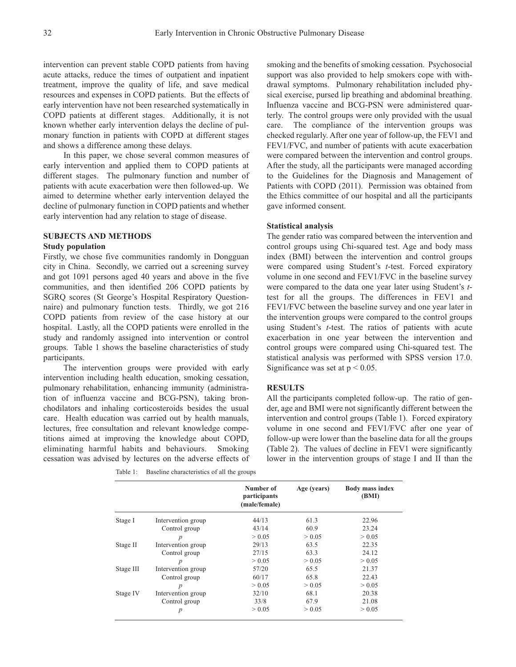intervention can prevent stable COPD patients from having acute attacks, reduce the times of outpatient and inpatient treatment, improve the quality of life, and save medical resources and expenses in COPD patients. But the effects of early intervention have not been researched systematically in COPD patients at different stages. Additionally, it is not known whether early intervention delays the decline of pulmonary function in patients with COPD at different stages and shows a difference among these delays.

In this paper, we chose several common measures of early intervention and applied them to COPD patients at different stages. The pulmonary function and number of patients with acute exacerbation were then followed-up. We aimed to determine whether early intervention delayed the decline of pulmonary function in COPD patients and whether early intervention had any relation to stage of disease.

## **SUBJECTS AND METHODS**

### **Study population**

Firstly, we chose five communities randomly in Dongguan city in China. Secondly, we carried out a screening survey and got 1091 persons aged 40 years and above in the five communities, and then identified 206 COPD patients by SGRQ scores (St George's Hospital Respiratory Questionnaire) and pulmonary function tests. Thirdly, we got 216 COPD patients from review of the case history at our hospital. Lastly, all the COPD patients were enrolled in the study and randomly assigned into intervention or control groups. Table 1 shows the baseline characteristics of study participants.

The intervention groups were provided with early intervention including health education, smoking cessation, pulmonary rehabilitation, enhancing immunity (administration of influenza vaccine and BCG-PSN), taking bronchodilators and inhaling corticosteroids besides the usual care. Health education was carried out by health manuals, lectures, free consultation and relevant knowledge competitions aimed at improving the knowledge about COPD, eliminating harmful habits and behaviours. Smoking cessation was advised by lectures on the adverse effects of

Table 1: Baseline characteristics of all the groups

smoking and the benefits of smoking cessation. Psychosocial support was also provided to help smokers cope with withdrawal symptoms. Pulmonary rehabilitation included physical exercise, pursed lip breathing and abdominal breathing. Influenza vaccine and BCG-PSN were administered quarterly. The control groups were only provided with the usual care. The compliance of the intervention groups was checked regularly. After one year of follow-up, the FEV1 and FEV1/FVC, and number of patients with acute exacerbation were compared between the intervention and control groups. After the study, all the participants were managed according to the Guidelines for the Diagnosis and Management of Patients with COPD (2011). Permission was obtained from the Ethics committee of our hospital and all the participants gave informed consent.

## **Statistical analysis**

The gender ratio was compared between the intervention and control groups using Chi-squared test. Age and body mass index (BMI) between the intervention and control groups were compared using Student's *t*-test. Forced expiratory volume in one second and FEV1/FVC in the baseline survey were compared to the data one year later using Student's *t*test for all the groups. The differences in FEV1 and FEV1/FVC between the baseline survey and one year later in the intervention groups were compared to the control groups using Student's *t*-test. The ratios of patients with acute exacerbation in one year between the intervention and control groups were compared using Chi-squared test. The statistical analysis was performed with SPSS version 17.0. Significance was set at  $p < 0.05$ .

#### **RESULTS**

All the participants completed follow-up. The ratio of gender, age and BMI were not significantly different between the intervention and control groups (Table 1). Forced expiratory volume in one second and FEV1/FVC after one year of follow-up were lower than the baseline data for all the groups (Table 2). The values of decline in FEV1 were significantly lower in the intervention groups of stage I and II than the

|           |                    | Number of<br>participants<br>(male/female) | Age (years) | Body mass index<br>(BMI) |
|-----------|--------------------|--------------------------------------------|-------------|--------------------------|
| Stage I   | Intervention group | 44/13                                      | 61.3        | 22.96                    |
|           | Control group      | 43/14                                      | 60.9        | 23.24                    |
|           | $\boldsymbol{p}$   | > 0.05                                     | > 0.05      | > 0.05                   |
| Stage II  | Intervention group | 29/13                                      | 63.5        | 22.35                    |
|           | Control group      | 27/15                                      | 63.3        | 24.12                    |
|           | $\boldsymbol{p}$   | > 0.05                                     | > 0.05      | > 0.05                   |
| Stage III | Intervention group | 57/20                                      | 65.5        | 21.37                    |
|           | Control group      | 60/17                                      | 65.8        | 22.43                    |
|           | $\boldsymbol{p}$   | > 0.05                                     | > 0.05      | > 0.05                   |
| Stage IV  | Intervention group | 32/10                                      | 68.1        | 20.38                    |
|           | Control group      | 33/8                                       | 67.9        | 21.08                    |
|           | $\boldsymbol{p}$   | > 0.05                                     | > 0.05      | > 0.05                   |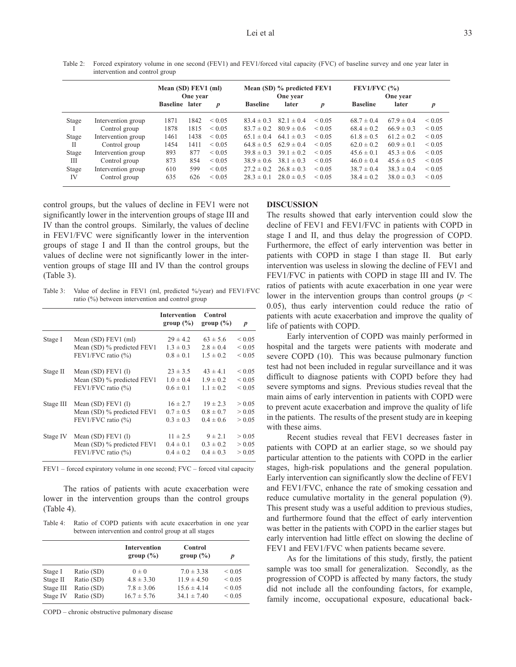Table 2: Forced expiratory volume in one second (FEV1) and FEV1/forced vital capacity (FVC) of baseline survey and one year later in intervention and control group

|       |                    | Mean (SD) FEV1 (ml)<br>One year |      | Mean (SD) % predicted FEV1<br>One year |                 | FEV1/FVC $(%)$<br>One year |                  |                 |                |             |
|-------|--------------------|---------------------------------|------|----------------------------------------|-----------------|----------------------------|------------------|-----------------|----------------|-------------|
|       |                    | <b>Baseline</b> later           |      | $\boldsymbol{p}$                       | <b>Baseline</b> | later                      | $\boldsymbol{p}$ | <b>Baseline</b> | later          | p           |
| Stage | Intervention group | 1871                            | 1842 | ${}_{0.05}$                            | $83.4 \pm 0.3$  | $82.1 \pm 0.4$             | ${}_{0.05}$      | $68.7 \pm 0.4$  | $67.9 \pm 0.4$ | ${}_{0.05}$ |
|       | Control group      | 1878                            | 1815 | ${}_{0.05}$                            | $83.7 \pm 0.2$  | $80.9 \pm 0.6$             | ${}_{0.05}$      | $68.4 \pm 0.2$  | $66.9 \pm 0.3$ | ${}_{0.05}$ |
| Stage | Intervention group | 1461                            | 1438 | ${}_{0.05}$                            | $65.1 \pm 0.4$  | $64.1 \pm 0.3$             | ${}_{0.05}$      | $61.8 \pm 0.5$  | $61.2 \pm 0.2$ | ${}_{0.05}$ |
| П     | Control group      | 1454                            | 1411 | ${}_{0.05}$                            | $64.8 \pm 0.5$  | $62.9 \pm 0.4$             | ${}_{0.05}$      | $62.0 \pm 0.2$  | $60.9 \pm 0.1$ | ${}< 0.05$  |
| Stage | Intervention group | 893                             | 877  | ${}_{0.05}$                            | $39.8 \pm 0.3$  | $39.1 \pm 0.2$             | ${}_{\leq 0.05}$ | $45.6 \pm 0.1$  | $45.3 \pm 0.6$ | ${}_{0.05}$ |
| Ш     | Control group      | 873                             | 854  | ${}_{0.05}$                            | $38.9 \pm 0.6$  | $38.1 \pm 0.3$             | ${}_{0.05}$      | $46.0 \pm 0.4$  | $45.6 \pm 0.5$ | ${}_{0.05}$ |
| Stage | Intervention group | 610                             | 599  | ${}_{0.05}$                            | $27.2 \pm 0.2$  | $26.8 \pm 0.3$             | ${}_{0.05}$      | $38.7 \pm 0.4$  | $38.3 \pm 0.4$ | ${}_{0.05}$ |
| IV    | Control group      | 635                             | 626  | ${}_{0.05}$                            | $28.3 \pm 0.1$  | $28.0 \pm 0.5$             | ${}_{0.05}$      | $38.4 \pm 0.2$  | $38.0 \pm 0.3$ | ${}_{0.05}$ |

control groups, but the values of decline in FEV1 were not significantly lower in the intervention groups of stage III and IV than the control groups. Similarly, the values of decline in FEV1/FVC were significantly lower in the intervention groups of stage I and II than the control groups, but the values of decline were not significantly lower in the intervention groups of stage III and IV than the control groups (Table 3).

Table 3: Value of decline in FEV1 (ml, predicted %/year) and FEV1/FVC ratio (%) between intervention and control group

|           |                            | <b>Intervention</b><br>group $(\% )$ | Control<br>group $(\% )$ | $\boldsymbol{p}$ |
|-----------|----------------------------|--------------------------------------|--------------------------|------------------|
| Stage I   | Mean $(SD)$ FEV1 $(ml)$    | $29 \pm 4.2$                         | $63 \pm 5.6$             | ${}< 0.05$       |
|           | Mean (SD) % predicted FEV1 | $1.3 \pm 0.3$                        | $2.8 \pm 0.4$            | ${}< 0.05$       |
|           | FEV1/FVC ratio $(\% )$     | $0.8 \pm 0.1$                        | $1.5 \pm 0.2$            | ${}< 0.05$       |
| Stage II  | Mean $(SD)$ FEV1 $(l)$     | $23 \pm 3.5$                         | $43 \pm 4.1$             | ${}< 0.05$       |
|           | Mean (SD) % predicted FEV1 | $1.0 \pm 0.4$                        | $1.9 \pm 0.2$            | ${}< 0.05$       |
|           | FEV1/FVC ratio $(\% )$     | $0.6 \pm 0.1$                        | $1.1 \pm 0.2$            | ${}< 0.05$       |
| Stage III | Mean $(SD)$ FEV1 $(1)$     | $16 \pm 2.7$                         | $19 \pm 2.3$             | > 0.05           |
|           | Mean (SD) % predicted FEV1 | $0.7 \pm 0.5$                        | $0.8 \pm 0.7$            | > 0.05           |
|           | FEV1/FVC ratio $(\% )$     | $0.3 \pm 0.3$                        | $0.4 \pm 0.6$            | > 0.05           |
| Stage IV  | Mean $(SD)$ FEV1 $(l)$     | $11 \pm 2.5$                         | $9 \pm 2.1$              | > 0.05           |
|           | Mean (SD) % predicted FEV1 | $0.4 \pm 0.1$                        | $0.3 \pm 0.2$            | > 0.05           |
|           | FEV1/FVC ratio $(\% )$     | $0.4 \pm 0.2$                        | $0.4 \pm 0.3$            | > 0.05           |

FEV1 – forced expiratory volume in one second; FVC – forced vital capacity

The ratios of patients with acute exacerbation were lower in the intervention groups than the control groups (Table 4).

Table 4: Ratio of COPD patients with acute exacerbation in one year between intervention and control group at all stages

|           |            | <b>Intervention</b><br>group $(\% )$ | Control<br>group $(\% )$ |             |
|-----------|------------|--------------------------------------|--------------------------|-------------|
| Stage I   | Ratio (SD) | $0 \pm 0$                            | $7.0 \pm 3.38$           | ${}_{0.05}$ |
| Stage II  | Ratio (SD) | $4.8 \pm 3.30$                       | $11.9 \pm 4.50$          | ${}< 0.05$  |
| Stage III | Ratio (SD) | $7.8 \pm 3.06$                       | $15.6 \pm 4.14$          | ${}_{0.05}$ |
| Stage IV  | Ratio (SD) | $16.7 \pm 5.76$                      | $34.1 \pm 7.40$          | ${}< 0.05$  |

COPD – chronic obstructive pulmonary disease

# **DISCUSSION**

The results showed that early intervention could slow the decline of FEV1 and FEV1/FVC in patients with COPD in stage I and II, and thus delay the progression of COPD. Furthermore, the effect of early intervention was better in patients with COPD in stage I than stage II. But early intervention was useless in slowing the decline of FEV1 and FEV1/FVC in patients with COPD in stage III and IV. The ratios of patients with acute exacerbation in one year were lower in the intervention groups than control groups ( $p \leq$ 0.05), thus early intervention could reduce the ratio of patients with acute exacerbation and improve the quality of life of patients with COPD.

Early intervention of COPD was mainly performed in hospital and the targets were patients with moderate and severe COPD (10). This was because pulmonary function test had not been included in regular surveillance and it was difficult to diagnose patients with COPD before they had severe symptoms and signs. Previous studies reveal that the main aims of early intervention in patients with COPD were to prevent acute exacerbation and improve the quality of life in the patients. The results of the present study are in keeping with these aims.

Recent studies reveal that FEV1 decreases faster in patients with COPD at an earlier stage, so we should pay particular attention to the patients with COPD in the earlier stages, high-risk populations and the general population. Early intervention can significantly slow the decline of FEV1 and FEV1/FVC, enhance the rate of smoking cessation and reduce cumulative mortality in the general population (9). This present study was a useful addition to previous studies, and furthermore found that the effect of early intervention was better in the patients with COPD in the earlier stages but early intervention had little effect on slowing the decline of FEV1 and FEV1/FVC when patients became severe.

As for the limitations of this study, firstly, the patient sample was too small for generalization. Secondly, as the progression of COPD is affected by many factors, the study did not include all the confounding factors, for example, family income, occupational exposure, educational back